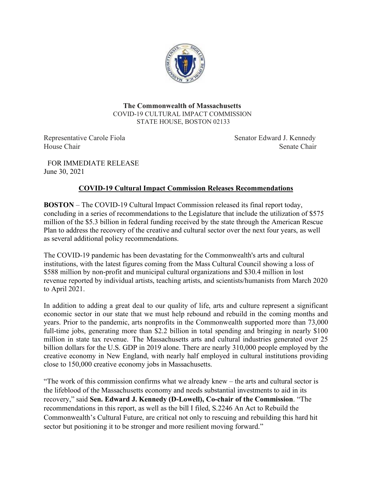

**The Commonwealth of Massachusetts** COVID-19 CULTURAL IMPACT COMMISSION STATE HOUSE, BOSTON 02133

Representative Carole Fiola Senator Edward J. Kennedy House Chair Senate Chair Senate Chair Senate Chair

FOR IMMEDIATE RELEASE June 30, 2021

## **COVID-19 Cultural Impact Commission Releases Recommendations**

**BOSTON** – The COVID-19 Cultural Impact Commission released its final report today, concluding in a series of recommendations to the Legislature that include the utilization of \$575 million of the \$5.3 billion in federal funding received by the state through the American Rescue Plan to address the recovery of the creative and cultural sector over the next four years, as well as several additional policy recommendations.

The COVID-19 pandemic has been devastating for the Commonwealth's arts and cultural institutions, with the latest figures coming from the Mass Cultural Council showing a loss of \$588 million by non-profit and municipal cultural organizations and \$30.4 million in lost revenue reported by individual artists, teaching artists, and scientists/humanists from March 2020 to April 2021.

In addition to adding a great deal to our quality of life, arts and culture represent a significant economic sector in our state that we must help rebound and rebuild in the coming months and years. Prior to the pandemic, arts nonprofits in the Commonwealth supported more than 73,000 full-time jobs, generating more than \$2.2 billion in total spending and bringing in nearly \$100 million in state tax revenue. The Massachusetts arts and cultural industries generated over 25 billion dollars for the U.S. GDP in 2019 alone. There are nearly 310,000 people employed by the creative economy in New England, with nearly half employed in cultural institutions providing close to 150,000 creative economy jobs in Massachusetts.

"The work of this commission confirms what we already knew – the arts and cultural sector is the lifeblood of the Massachusetts economy and needs substantial investments to aid in its recovery," said **Sen. Edward J. Kennedy (D-Lowell), Co-chair of the Commission**. "The recommendations in this report, as well as the bill I filed, S.2246 An Act to Rebuild the Commonwealth's Cultural Future, are critical not only to rescuing and rebuilding this hard hit sector but positioning it to be stronger and more resilient moving forward."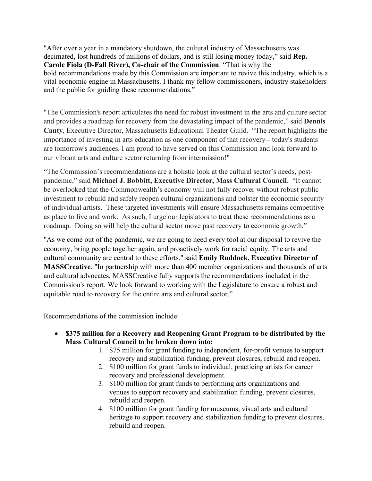"After over a year in a mandatory shutdown, the cultural industry of Massachusetts was decimated, lost hundreds of millions of dollars, and is still losing money today," said **Rep. Carole Fiola (D-Fall River), Co-chair of the Commission**. "That is why the bold recommendations made by this Commission are important to revive this industry, which is a vital economic engine in Massachusetts. I thank my fellow commissioners, industry stakeholders and the public for guiding these recommendations."

"The Commission's report articulates the need for robust investment in the arts and culture sector and provides a roadmap for recovery from the devastating impact of the pandemic," said **Dennis Canty**, Executive Director, Massachusetts Educational Theater Guild. "The report highlights the importance of investing in arts education as one component of that recovery-- today's students are tomorrow's audiences. I am proud to have served on this Commission and look forward to our vibrant arts and culture sector returning from intermission!"

"The Commission's recommendations are a holistic look at the cultural sector's needs, postpandemic," said **Michael J. Bobbitt, Executive Director, Mass Cultural Council**. "It cannot be overlooked that the Commonwealth's economy will not fully recover without robust public investment to rebuild and safely reopen cultural organizations and bolster the economic security of individual artists. These targeted investments will ensure Massachusetts remains competitive as place to live and work. As such, I urge our legislators to treat these recommendations as a roadmap. Doing so will help the cultural sector move past recovery to economic growth."

"As we come out of the pandemic, we are going to need every tool at our disposal to revive the economy, bring people together again, and proactively work for racial equity. The arts and cultural community are central to these efforts." said **Emily Ruddock, Executive Director of MASSCreative**. "In partnership with more than 400 member organizations and thousands of arts and cultural advocates, MASSCreative fully supports the recommendations included in the Commission's report. We look forward to working with the Legislature to ensure a robust and equitable road to recovery for the entire arts and cultural sector."

Recommendations of the commission include:

- **\$375 million for a Recovery and Reopening Grant Program to be distributed by the Mass Cultural Council to be broken down into:**
	- 1. \$75 million for grant funding to independent, for-profit venues to support recovery and stabilization funding, prevent closures, rebuild and reopen.
	- 2. \$100 million for grant funds to individual, practicing artists for career recovery and professional development.
	- 3. \$100 million for grant funds to performing arts organizations and venues to support recovery and stabilization funding, prevent closures, rebuild and reopen.
	- 4. \$100 million for grant funding for museums, visual arts and cultural heritage to support recovery and stabilization funding to prevent closures, rebuild and reopen.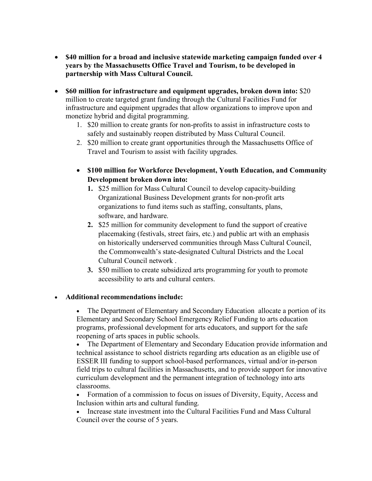- **\$40 million for a broad and inclusive statewide marketing campaign funded over 4 years by the Massachusetts Office Travel and Tourism, to be developed in partnership with Mass Cultural Council.**
- **\$60 million for infrastructure and equipment upgrades, broken down into:** \$20 million to create targeted grant funding through the Cultural Facilities Fund for infrastructure and equipment upgrades that allow organizations to improve upon and monetize hybrid and digital programming.
	- 1. \$20 million to create grants for non-profits to assist in infrastructure costs to safely and sustainably reopen distributed by Mass Cultural Council.
	- 2. \$20 million to create grant opportunities through the Massachusetts Office of Travel and Tourism to assist with facility upgrades.
	- **\$100 million for Workforce Development, Youth Education, and Community Development broken down into:**
		- **1.** \$25 million for Mass Cultural Council to develop capacity-building Organizational Business Development grants for non-profit arts organizations to fund items such as staffing, consultants, plans, software, and hardware.
		- **2.** \$25 million for community development to fund the support of creative placemaking (festivals, street fairs, etc.) and public art with an emphasis on historically underserved communities through Mass Cultural Council, the Commonwealth's state-designated Cultural Districts and the Local Cultural Council network .
		- **3.** \$50 million to create subsidized arts programming for youth to promote accessibility to arts and cultural centers.

## • **Additional recommendations include:**

• The Department of Elementary and Secondary Education allocate a portion of its Elementary and Secondary School Emergency Relief Funding to arts education programs, professional development for arts educators, and support for the safe reopening of arts spaces in public schools.

• The Department of Elementary and Secondary Education provide information and technical assistance to school districts regarding arts education as an eligible use of ESSER III funding to support school-based performances, virtual and/or in-person field trips to cultural facilities in Massachusetts, and to provide support for innovative curriculum development and the permanent integration of technology into arts classrooms.

- Formation of a commission to focus on issues of Diversity, Equity, Access and Inclusion within arts and cultural funding.
- Increase state investment into the Cultural Facilities Fund and Mass Cultural Council over the course of 5 years.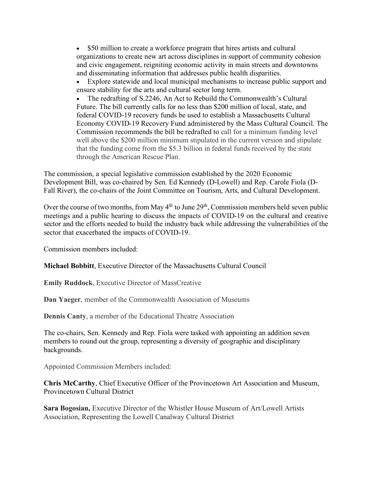• \$50 million to create a workforce program that hires artists and cultural organizations to create new art across disciplines in support of community cohesion and civic engagement, reigniting economic activity in main streets and downtowns and disseminating information that addresses public health disparities.

• Explore statewide and local municipal mechanisms to increase public support and ensure stability for the arts and cultural sector long term.

• The redrafting of S.2246, An Act to Rebuild the Commonwealth's Cultural Future. The bill currently calls for no less than \$200 million of local, state, and federal COVID-19 recovery funds be used to establish a Massachusetts Cultural Economy COVID-19 Recovery Fund administered by the Mass Cultural Council. The Commission recommends the bill be redrafted to call for a minimum funding level well above the \$200 million minimum stipulated in the current version and stipulate that the funding come from the \$5.3 billion in federal funds received by the state through the American Rescue Plan.

The commission, a special legislative commission established by the 2020 Economic Development Bill, was co-chaired by Sen. Ed Kennedy (D-Lowell) and Rep. Carole Fiola (D-Fall River), the co-chairs of the Joint Committee on Tourism, Arts, and Cultural Development.

Over the course of two months, from May  $4<sup>th</sup>$  to June  $29<sup>th</sup>$ , Commission members held seven public meetings and a public hearing to discuss the impacts of COVID-19 on the cultural and creative sector and the efforts needed to build the industry back while addressing the vulnerabilities of the sector that exacerbated the impacts of COVID-19.

Commission members included:

**Michael Bobbitt**, Executive Director of the Massachusetts Cultural Council

**Emily Ruddock**, Executive Director of MassCreative

**Dan Yaeger**, member of the Commonwealth Association of Museums

**Dennis Canty**, a member of the Educational Theatre Association

The co-chairs, Sen. Kennedy and Rep. Fiola were tasked with appointing an addition seven members to round out the group, representing a diversity of geographic and disciplinary backgrounds.

Appointed Commission Members included:

**Chris McCarthy**, Chief Executive Officer of the Provincetown Art Association and Museum, Provincetown Cultural District

**Sara Bogosian,** Executive Director of the Whistler House Museum of Art/Lowell Artists Association, Representing the Lowell Canalway Cultural District